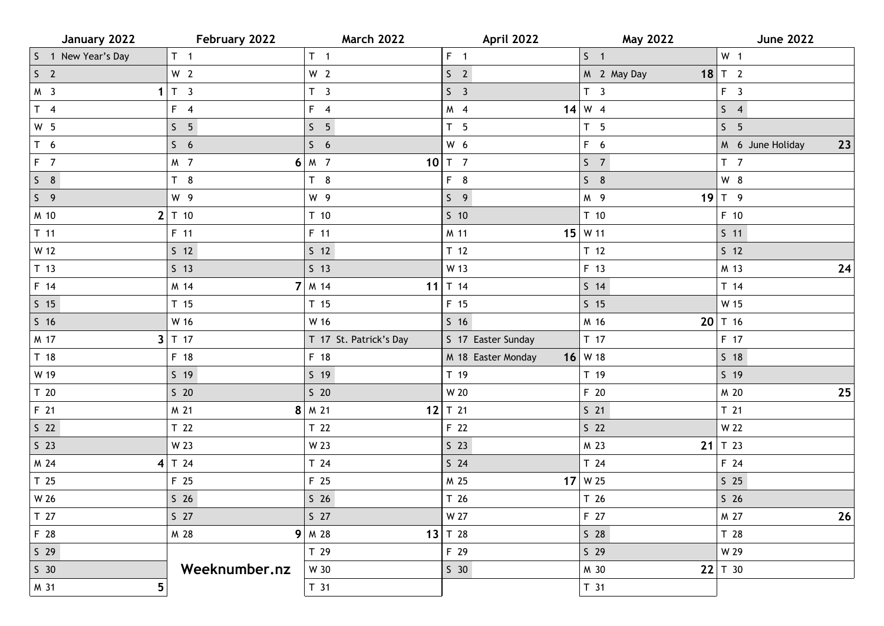| January 2022                    | February 2022   | <b>March 2022</b>      | April 2022         | <b>May 2022</b> | <b>June 2022</b>       |
|---------------------------------|-----------------|------------------------|--------------------|-----------------|------------------------|
| S 1 New Year's Day              | $T = 1$         | $T \quad 1$            | $F = 1$            | S <sub>1</sub>  | W <sub>1</sub>         |
| S <sub>2</sub>                  | W <sub>2</sub>  | W <sub>2</sub>         | S <sub>2</sub>     | M 2 May Day     | $18$ T 2               |
| M <sub>3</sub><br>$\mathbf{1}$  | $T_3$           | T <sub>3</sub>         | S <sub>3</sub>     | T <sub>3</sub>  | F <sub>3</sub>         |
| $T \quad 4$                     | $F \quad 4$     | $F \quad 4$            | M 4                | $14 \mid W$ 4   | 54                     |
| W <sub>5</sub>                  | S <sub>5</sub>  | S <sub>5</sub>         | T <sub>5</sub>     | T <sub>5</sub>  | S <sub>5</sub>         |
| T <sub>6</sub>                  | S <sub>6</sub>  | $5\quad 6$             | W 6                | F 6             | 23<br>M 6 June Holiday |
| $F$ 7                           | M 7             | $6 M$ 7                | $10$ T 7           | S <sub>7</sub>  | T <sub>7</sub>         |
| $S$ 8                           | T <sub>8</sub>  | T <sub>8</sub>         | F 8                | $S$ 8           | W 8                    |
| S <sub>9</sub>                  | W 9             | W 9                    | $S \quad 9$        | M 9             | $19$ T 9               |
| M 10<br>$\mathbf{2}$            | T 10            | T <sub>10</sub>        | $S$ 10             | T <sub>10</sub> | F 10                   |
| $T$ 11                          | F 11            | $F$ 11                 | M 11               | $15$ W 11       | $S$ 11                 |
| W 12                            | $S$ 12          | $S$ 12                 | $T$ 12             | T <sub>12</sub> | 5 <sub>12</sub>        |
| T <sub>13</sub>                 | $S$ 13          | 5 <sub>13</sub>        | W 13               | F 13            | M 13<br>24             |
| F 14                            | M 14            | $7$ M 14<br>11         | T 14               | $S$ 14          | T 14                   |
| $S$ 15                          | T 15            | T <sub>15</sub>        | F 15               | $S$ 15          | W 15                   |
| S <sub>16</sub>                 | W 16            | W 16                   | $5\quad16$         | M 16            | 20 $T$ 16              |
| M 17                            | $3$ T 17        | T 17 St. Patrick's Day | S 17 Easter Sunday | T 17            | F 17                   |
| T <sub>18</sub>                 | F 18            | F 18                   | M 18 Easter Monday | $16$ W 18       | $S$ 18                 |
| W 19                            | $S$ 19          | $S$ 19                 | $T$ 19             | T 19            | $5 \t19$               |
| T <sub>20</sub>                 | $S$ 20          | $S$ 20                 | W 20               | F 20            | $25\,$<br>M 20         |
| F 21                            | 8 <br>M 21      | M 21                   | 12 $T$ 21          | S <sub>21</sub> | T <sub>21</sub>        |
| S <sub>22</sub>                 | T <sub>22</sub> | T <sub>22</sub>        | F 22               | S <sub>22</sub> | W 22                   |
| $S$ 23                          | W 23            | W 23                   | S <sub>23</sub>    | 21<br>M 23      | T 23                   |
| M 24                            | $4$ T 24        | T 24                   | $S$ 24             | T <sub>24</sub> | F 24                   |
| T <sub>25</sub>                 | F 25            | F 25                   | M 25               | $17$ W 25       | $S$ 25                 |
| W 26                            | S <sub>26</sub> | S <sub>26</sub>        | T <sub>26</sub>    | T 26            | $S$ 26                 |
| T 27                            | $S$ 27          | $S$ 27                 | W 27               | F 27            | M 27<br>26             |
| F 28                            | M 28            | $9$ M 28               | 13 $T$ 28          | S <sub>28</sub> | T 28                   |
| $S$ 29                          |                 | T 29                   | F 29               | $S$ 29          | W 29                   |
| S <sub>30</sub>                 | Weeknumber.nz   | W 30                   | S <sub>30</sub>    | M 30            | $22$ T 30              |
| $\overline{\mathbf{5}}$<br>M 31 |                 | T <sub>31</sub>        |                    | T <sub>31</sub> |                        |